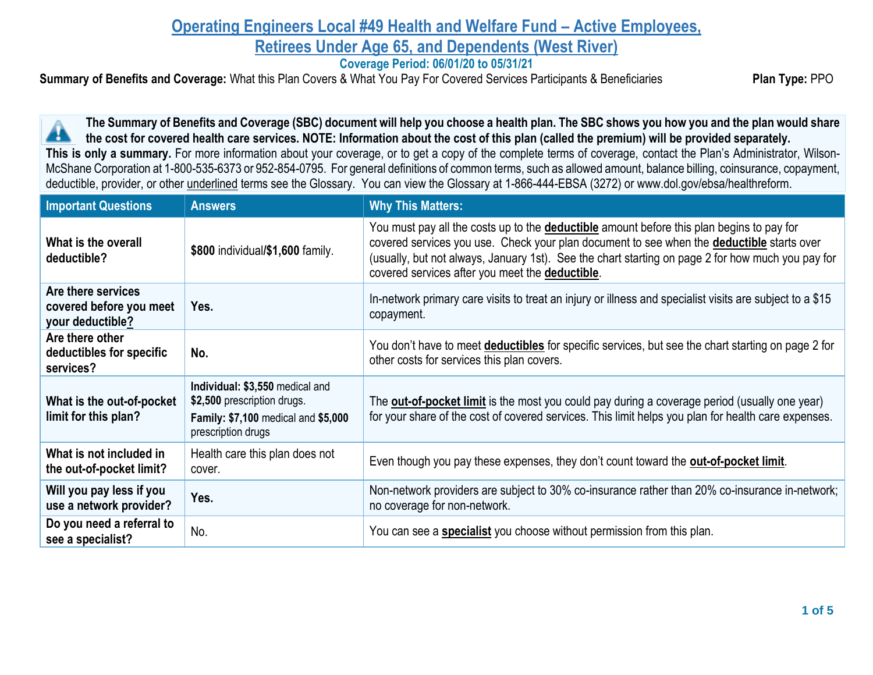## **Operating Engineers Local #49 Health and Welfare Fund – Active Employees, Retirees Under Age 65, and Dependents (West River)**

**Coverage Period: 06/01/20 to 05/31/21**

**Summary of Benefits and Coverage:** What this Plan Covers & What You Pay For Covered Services Participants & Beneficiaries **Plan Type:** PPO

**The Summary of Benefits and Coverage (SBC) document will help you choose a health plan. The SBC shows you how you and the plan would share**  44 **the cost for covered health care services. NOTE: Information about the cost of this plan (called the premium) will be provided separately. This is only a summary.** For more information about your coverage, or to get a copy of the complete terms of coverage, contact the Plan's Administrator, Wilson-McShane Corporation at 1-800-535-6373 or 952-854-0795. For general definitions of common terms, such as allowed amount, balance billing, coinsurance, copayment, deductible, provider, or other underlined terms see the Glossary. You can view the Glossary at 1-866-444-EBSA (3272) or www.dol.gov/ebsa/healthreform.

| <b>Important Questions</b>                                        | <b>Answers</b>                                                                                                              | <b>Why This Matters:</b>                                                                                                                                                                                                                                                                                                                                     |
|-------------------------------------------------------------------|-----------------------------------------------------------------------------------------------------------------------------|--------------------------------------------------------------------------------------------------------------------------------------------------------------------------------------------------------------------------------------------------------------------------------------------------------------------------------------------------------------|
| What is the overall<br>deductible?                                | \$800 individual/\$1,600 family.                                                                                            | You must pay all the costs up to the <b>deductible</b> amount before this plan begins to pay for<br>covered services you use. Check your plan document to see when the <b>deductible</b> starts over<br>(usually, but not always, January 1st). See the chart starting on page 2 for how much you pay for<br>covered services after you meet the deductible. |
| Are there services<br>covered before you meet<br>your deductible? | Yes.                                                                                                                        | In-network primary care visits to treat an injury or illness and specialist visits are subject to a \$15<br>copayment.                                                                                                                                                                                                                                       |
| Are there other<br>deductibles for specific<br>services?          | No.                                                                                                                         | You don't have to meet <b>deductibles</b> for specific services, but see the chart starting on page 2 for<br>other costs for services this plan covers.                                                                                                                                                                                                      |
| What is the out-of-pocket<br>limit for this plan?                 | Individual: \$3,550 medical and<br>\$2,500 prescription drugs.<br>Family: \$7,100 medical and \$5,000<br>prescription drugs | The <b>out-of-pocket limit</b> is the most you could pay during a coverage period (usually one year)<br>for your share of the cost of covered services. This limit helps you plan for health care expenses.                                                                                                                                                  |
| What is not included in<br>the out-of-pocket limit?               | Health care this plan does not<br>cover.                                                                                    | Even though you pay these expenses, they don't count toward the <b>out-of-pocket limit</b> .                                                                                                                                                                                                                                                                 |
| Will you pay less if you<br>use a network provider?               | Yes.                                                                                                                        | Non-network providers are subject to 30% co-insurance rather than 20% co-insurance in-network;<br>no coverage for non-network.                                                                                                                                                                                                                               |
| Do you need a referral to<br>see a specialist?                    | No.                                                                                                                         | You can see a specialist you choose without permission from this plan.                                                                                                                                                                                                                                                                                       |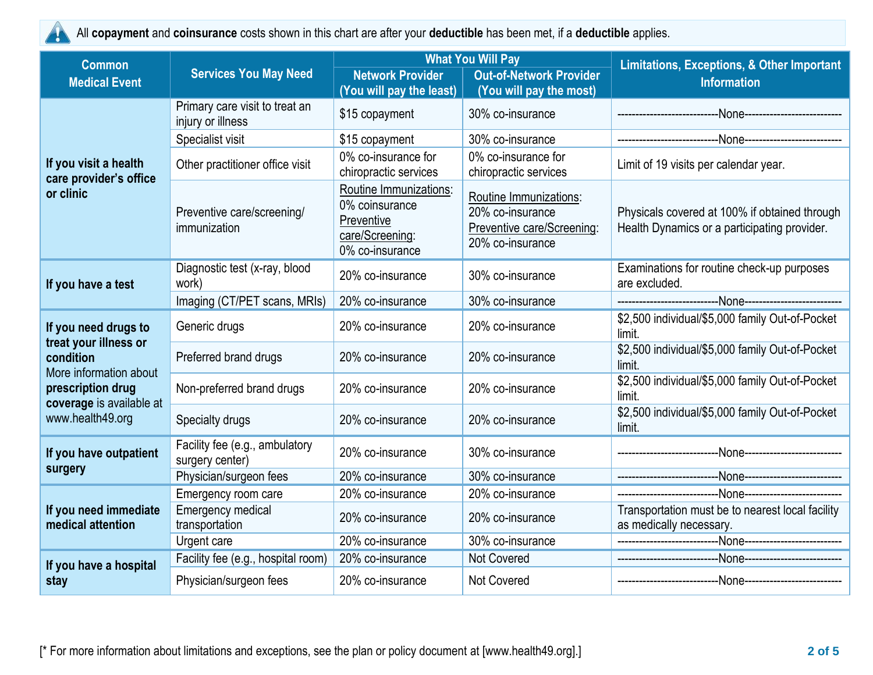

All **copayment** and **coinsurance** costs shown in this chart are after your **deductible** has been met, if a **deductible** applies.

| <b>Common</b>                                                                                                                                             | <b>Services You May Need</b>                        | <b>What You Will Pay</b>                                                                     |                                                                                              | <b>Limitations, Exceptions, &amp; Other Important</b>                                         |  |
|-----------------------------------------------------------------------------------------------------------------------------------------------------------|-----------------------------------------------------|----------------------------------------------------------------------------------------------|----------------------------------------------------------------------------------------------|-----------------------------------------------------------------------------------------------|--|
| <b>Medical Event</b>                                                                                                                                      |                                                     | <b>Network Provider</b><br>(You will pay the least)                                          | <b>Out-of-Network Provider</b><br>(You will pay the most)                                    | <b>Information</b>                                                                            |  |
|                                                                                                                                                           | Primary care visit to treat an<br>injury or illness | \$15 copayment                                                                               | 30% co-insurance                                                                             |                                                                                               |  |
|                                                                                                                                                           | Specialist visit                                    | \$15 copayment                                                                               | 30% co-insurance                                                                             |                                                                                               |  |
| If you visit a health<br>care provider's office<br>or clinic                                                                                              | Other practitioner office visit                     | 0% co-insurance for<br>chiropractic services                                                 | 0% co-insurance for<br>chiropractic services                                                 | Limit of 19 visits per calendar year.                                                         |  |
|                                                                                                                                                           | Preventive care/screening/<br>immunization          | Routine Immunizations:<br>0% coinsurance<br>Preventive<br>care/Screening:<br>0% co-insurance | Routine Immunizations:<br>20% co-insurance<br>Preventive care/Screening:<br>20% co-insurance | Physicals covered at 100% if obtained through<br>Health Dynamics or a participating provider. |  |
| If you have a test                                                                                                                                        | Diagnostic test (x-ray, blood<br>work)              | 20% co-insurance                                                                             | 30% co-insurance                                                                             | Examinations for routine check-up purposes<br>are excluded.                                   |  |
|                                                                                                                                                           | Imaging (CT/PET scans, MRIs)                        | 20% co-insurance                                                                             | 30% co-insurance                                                                             |                                                                                               |  |
| If you need drugs to<br>treat your illness or<br>condition<br>More information about<br>prescription drug<br>coverage is available at<br>www.health49.org | Generic drugs                                       | 20% co-insurance                                                                             | 20% co-insurance                                                                             | \$2,500 individual/\$5,000 family Out-of-Pocket<br>limit.                                     |  |
|                                                                                                                                                           | Preferred brand drugs                               | 20% co-insurance                                                                             | 20% co-insurance                                                                             | \$2,500 individual/\$5,000 family Out-of-Pocket<br>limit.                                     |  |
|                                                                                                                                                           | Non-preferred brand drugs                           | 20% co-insurance                                                                             | 20% co-insurance                                                                             | \$2,500 individual/\$5,000 family Out-of-Pocket<br>limit.                                     |  |
|                                                                                                                                                           | Specialty drugs                                     | 20% co-insurance                                                                             | 20% co-insurance                                                                             | \$2,500 individual/\$5,000 family Out-of-Pocket<br>limit.                                     |  |
| If you have outpatient                                                                                                                                    | Facility fee (e.g., ambulatory<br>surgery center)   | 20% co-insurance                                                                             | 30% co-insurance                                                                             |                                                                                               |  |
| surgery                                                                                                                                                   | Physician/surgeon fees                              | 20% co-insurance                                                                             | 30% co-insurance                                                                             |                                                                                               |  |
| If you need immediate<br>medical attention                                                                                                                | Emergency room care                                 | 20% co-insurance                                                                             | 20% co-insurance                                                                             |                                                                                               |  |
|                                                                                                                                                           | <b>Emergency medical</b><br>transportation          | 20% co-insurance                                                                             | 20% co-insurance                                                                             | Transportation must be to nearest local facility<br>as medically necessary.                   |  |
|                                                                                                                                                           | Urgent care                                         | 20% co-insurance                                                                             | 30% co-insurance                                                                             |                                                                                               |  |
| If you have a hospital                                                                                                                                    | Facility fee (e.g., hospital room)                  | 20% co-insurance                                                                             | Not Covered                                                                                  |                                                                                               |  |
| stay                                                                                                                                                      | Physician/surgeon fees                              | 20% co-insurance                                                                             | Not Covered                                                                                  |                                                                                               |  |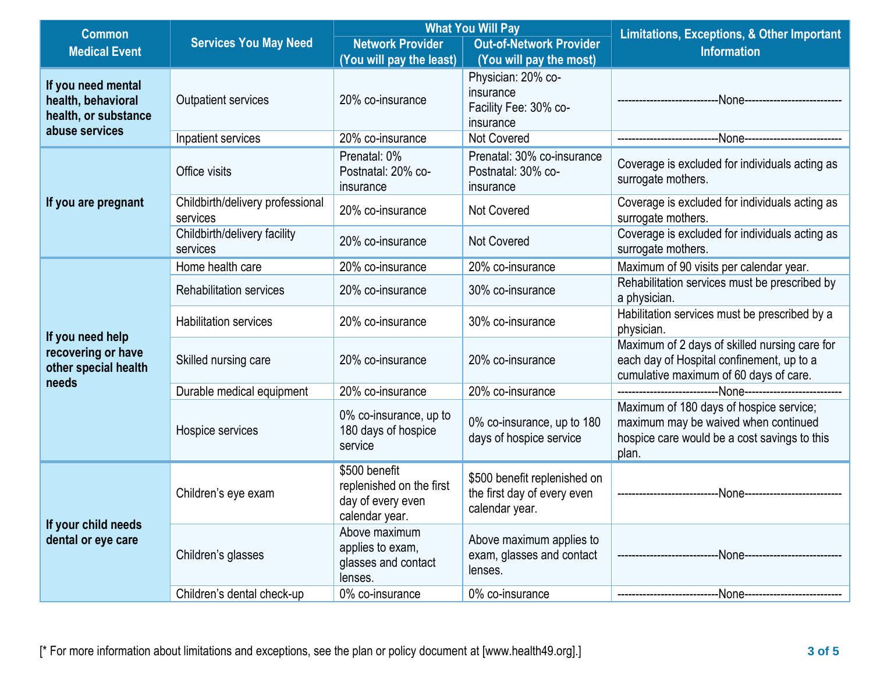| <b>Common</b>                                                           | <b>Services You May Need</b>                 | <b>What You Will Pay</b>                                                         |                                                                               | <b>Limitations, Exceptions, &amp; Other Important</b>                                                                                    |  |
|-------------------------------------------------------------------------|----------------------------------------------|----------------------------------------------------------------------------------|-------------------------------------------------------------------------------|------------------------------------------------------------------------------------------------------------------------------------------|--|
| <b>Medical Event</b>                                                    |                                              | <b>Network Provider</b>                                                          | <b>Out-of-Network Provider</b>                                                | <b>Information</b>                                                                                                                       |  |
|                                                                         |                                              | (You will pay the least)                                                         | (You will pay the most)                                                       |                                                                                                                                          |  |
| If you need mental<br>health, behavioral<br>health, or substance        | <b>Outpatient services</b>                   | 20% co-insurance                                                                 | Physician: 20% co-<br>insurance<br>Facility Fee: 30% co-<br>insurance         |                                                                                                                                          |  |
| abuse services                                                          | Inpatient services                           | 20% co-insurance                                                                 | <b>Not Covered</b>                                                            |                                                                                                                                          |  |
| If you are pregnant                                                     | Office visits                                | Prenatal: 0%<br>Postnatal: 20% co-<br>insurance                                  | Prenatal: 30% co-insurance<br>Postnatal: 30% co-<br>insurance                 | Coverage is excluded for individuals acting as<br>surrogate mothers.                                                                     |  |
|                                                                         | Childbirth/delivery professional<br>services | 20% co-insurance                                                                 | Not Covered                                                                   | Coverage is excluded for individuals acting as<br>surrogate mothers.                                                                     |  |
|                                                                         | Childbirth/delivery facility<br>services     | 20% co-insurance                                                                 | <b>Not Covered</b>                                                            | Coverage is excluded for individuals acting as<br>surrogate mothers.                                                                     |  |
|                                                                         | Home health care                             | 20% co-insurance                                                                 | 20% co-insurance                                                              | Maximum of 90 visits per calendar year.                                                                                                  |  |
|                                                                         | <b>Rehabilitation services</b>               | 20% co-insurance                                                                 | 30% co-insurance                                                              | Rehabilitation services must be prescribed by<br>a physician.                                                                            |  |
|                                                                         | <b>Habilitation services</b>                 | 20% co-insurance                                                                 | 30% co-insurance                                                              | Habilitation services must be prescribed by a<br>physician.                                                                              |  |
| If you need help<br>recovering or have<br>other special health<br>needs | Skilled nursing care                         | 20% co-insurance                                                                 | 20% co-insurance                                                              | Maximum of 2 days of skilled nursing care for<br>each day of Hospital confinement, up to a<br>cumulative maximum of 60 days of care.     |  |
|                                                                         | Durable medical equipment                    | 20% co-insurance                                                                 | 20% co-insurance                                                              |                                                                                                                                          |  |
|                                                                         | Hospice services                             | 0% co-insurance, up to<br>180 days of hospice<br>service                         | 0% co-insurance, up to 180<br>days of hospice service                         | Maximum of 180 days of hospice service;<br>maximum may be waived when continued<br>hospice care would be a cost savings to this<br>plan. |  |
| If your child needs<br>dental or eye care                               | Children's eye exam                          | \$500 benefit<br>replenished on the first<br>day of every even<br>calendar year. | \$500 benefit replenished on<br>the first day of every even<br>calendar year. | --None----------------------<br>-------------------------                                                                                |  |
|                                                                         | Children's glasses                           | Above maximum<br>applies to exam,<br>glasses and contact<br>lenses.              | Above maximum applies to<br>exam, glasses and contact<br>lenses.              | -None---------------------                                                                                                               |  |
|                                                                         | Children's dental check-up                   | 0% co-insurance                                                                  | 0% co-insurance                                                               | -None----------------------                                                                                                              |  |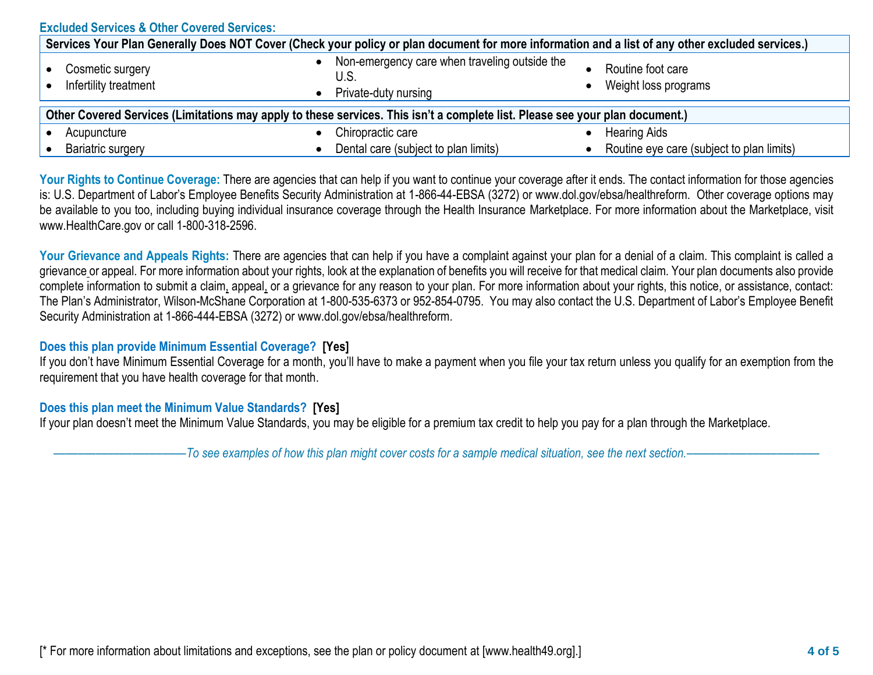| <b>Excluded Services &amp; Other Covered Services:</b>                                                                                           |                                                                               |                                           |  |  |
|--------------------------------------------------------------------------------------------------------------------------------------------------|-------------------------------------------------------------------------------|-------------------------------------------|--|--|
| Services Your Plan Generally Does NOT Cover (Check your policy or plan document for more information and a list of any other excluded services.) |                                                                               |                                           |  |  |
| Cosmetic surgery<br>Infertility treatment                                                                                                        | Non-emergency care when traveling outside the<br>U.S.<br>Private-duty nursing | Routine foot care<br>Weight loss programs |  |  |
| Other Covered Services (Limitations may apply to these services. This isn't a complete list. Please see your plan document.)                     |                                                                               |                                           |  |  |
| Acupuncture                                                                                                                                      | Chiropractic care                                                             | <b>Hearing Aids</b>                       |  |  |
| <b>Bariatric surgery</b>                                                                                                                         | Dental care (subject to plan limits)                                          | Routine eye care (subject to plan limits) |  |  |

Your Rights to Continue Coverage: There are agencies that can help if you want to continue your coverage after it ends. The contact information for those agencies is: U.S. Department of Labor's Employee Benefits Security Administration at 1-866-44-EBSA (3272) or www.dol.gov/ebsa/healthreform. Other coverage options may be available to you too, including buying individual insurance coverage through the Health Insurance Marketplace. For more information about the Marketplace, visit www.HealthCare.gov or call 1-800-318-2596.

Your Grievance and Appeals Rights: There are agencies that can help if you have a complaint against your plan for a denial of a claim. This complaint is called a grievance or appeal. For more information about your rights, look at the explanation of benefits you will receive for that medical claim. Your plan documents also provide complete information to submit a claim, appeal, or a grievance for any reason to your plan. For more information about your rights, this notice, or assistance, contact: The Plan's Administrator, Wilson-McShane Corporation at 1-800-535-6373 or 952-854-0795. You may also contact the U.S. Department of Labor's Employee Benefit Security Administration at 1-866-444-EBSA (3272) or www.dol.gov/ebsa/healthreform.

## **Does this plan provide Minimum Essential Coverage? [Yes]**

If you don't have Minimum Essential Coverage for a month, you'll have to make a payment when you file your tax return unless you qualify for an exemption from the requirement that you have health coverage for that month.

## **Does this plan meet the Minimum Value Standards? [Yes]**

If your plan doesn't meet the Minimum Value Standards, you may be eligible for a premium tax credit to help you pay for a plan through the Marketplace.

––––––––––––––––––––––*To see examples of how this plan might cover costs for a sample medical situation, see the next section.–––––––––––*–––––––––––